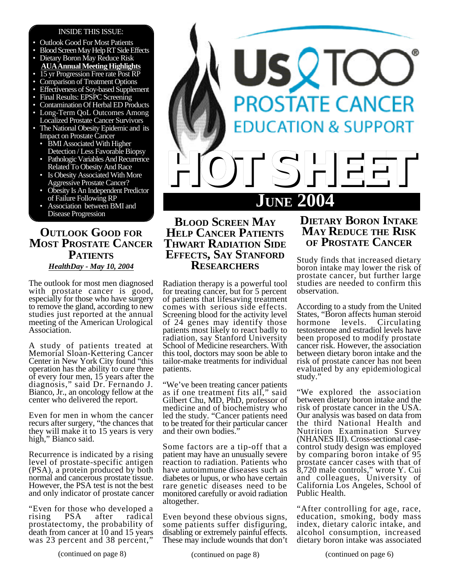### INSIDE THIS ISSUE:

- Outlook Good For Most Patients
- Blood Screen May Help RT Side Effects
- Dietary Boron May Reduce Risk
- **AUAAnnualMeetingHighlights** 15 yr Progression Free rate Post RP
- Comparison of Treatment Options
- Effectiveness of Soy-based Supplement
- Final Results: EPSPC Screening
- Contamination Of Herbal ED Products
- Long-Term QoL Outcomes Among Localized Prostate Cancer Survivors
- The National Obesity Epidemic and its Impact on Prostate Cancer
	- BMI Associated With Higher Detection / Less Favorable Biopsy
	- Pathologic Variables And Recurrence Related To Obesity And Race
	- Is Obesity Associated With More Aggressive Prostate Cancer?
	- Obesity Is An Independent Predictor of Failure Following RP
	- Association between BMI and Disease Progression

# **OUTLOOK GOOD FOR MOST PROSTATE CANCER PATIENTS** *HealthDay - May 10, 2004*

The outlook for most men diagnosed with prostate cancer is good, especially for those who have surgery to remove the gland, according to new studies just reported at the annual meeting of the American Urological Association.

A study of patients treated at Memorial Sloan-Kettering Cancer Center in New York City found "this operation has the ability to cure three of every four men, 15 years after the diagnosis," said Dr. Fernando J. Bianco, Jr., an oncology fellow at the center who delivered the report.

Even for men in whom the cancer recurs after surgery, "the chances that they will make it to 15 years is very high," Bianco said.

Recurrence is indicated by a rising level of prostate-specific antigen (PSA), a protein produced by both normal and cancerous prostate tissue. However, the PSA test is not the best and only indicator of prostate cancer

"Even for those who developed a<br>rising PSA after radical radical prostatectomy, the probability of death from cancer at 10 and 15 years was 23 percent and 38 percent,"



# **BLOOD SCREEN MAY HELP CANCER PATIENTS THWART RADIATION SIDE EFFECTS, SAY STANFORD RESEARCHERS**

Radiation therapy is a powerful tool for treating cancer, but for 5 percent of patients that lifesaving treatment comes with serious side effects. Screening blood for the activity level of 24 genes may identify those patients most likely to react badly to radiation, say Stanford University School of Medicine researchers. With this tool, doctors may soon be able to tailor-make treatments for individual patients.

"We've been treating cancer patients as if one treatment fits all," said Gilbert Chu, MD, PhD, professor of medicine and of biochemistry who led the study. "Cancer patients need to be treated for their particular cancer and their own bodies."

Some factors are a tip-off that a patient may have an unusually severe reaction to radiation. Patients who have autoimmune diseases such as diabetes or lupus, or who have certain rare genetic diseases need to be monitored carefully or avoid radiation altogether.

Even beyond these obvious signs, some patients suffer disfiguring, disabling or extremely painful effects. These may include wounds that don't

# **DIETARY BORON INTAKE MAY REDUCE THE RISK OF PROSTATE CANCER**

Study finds that increased dietary boron intake may lower the risk of prostate cancer, but further large studies are needed to confirm this observation.

According to a study from the United States, "Boron affects human steroid<br>hormone levels. Circulating Circulating testosterone and estradiol levels have been proposed to modify prostate cancer risk. However, the association between dietary boron intake and the risk of prostate cancer has not been evaluated by any epidemiological study."

"We explored the association between dietary boron intake and the risk of prostate cancer in the USA. Our analysis was based on data from the third National Health and Nutrition Examination Survey (NHANES III). Cross-sectional casecontrol study design was employed by comparing boron intake of 95 prostate cancer cases with that of 8,720 male controls," wrote Y. Cui and colleagues, University of California Los Angeles, School of Public Health.

"After controlling for age, race, education, smoking, body mass index, dietary caloric intake, and alcohol consumption, increased dietary boron intake was associated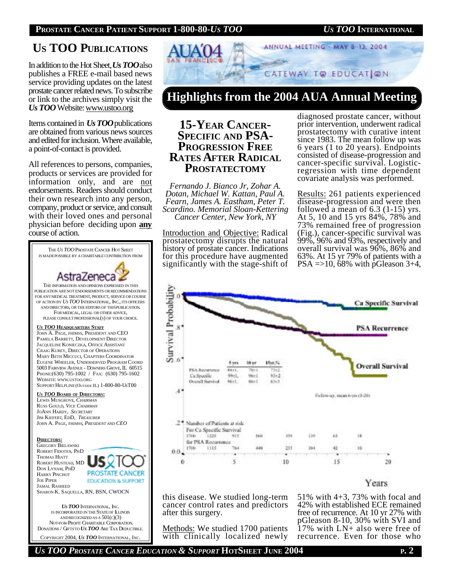# **US TOO PUBLICATIONS**

In addition to the Hot Sheet, *Us TOO*also publishes a FREE e-mail based news service providing updates on the latest prostate cancer related news. To subscribe or link to the archives simply visit the *Us TOO* Website: www.ustoo.org

Items contained in *Us TOO*publications are obtained from various news sources and edited for inclusion. Where available, a point-of-contact is provided.

All references to persons, companies, products or services are provided for information only, and are not endorsements. Readers should conduct their own research into any person, company, product or service, and consult with their loved ones and personal physician before deciding upon **any** course of action.





**Highlights from the 2004 AUA Annual Meeting**

# **15-YEAR CANCER-SPECIFIC AND PSA-PROGRESSION FREE RATES AFTER RADICAL PROSTATECTOMY**

*Fernando J. Bianco Jr, Zohar A. Dotan, Michael W. Kattan, Paul A. Fearn, James A. Eastham, Peter T. Scardino. Memorial Sloan-Kettering Cancer Center, New York, NY*

Introduction and Objective: Radical prostatectomy disrupts the natural history of prostate cancer. Indications for this procedure have augmented significantly with the stage-shift of

diagnosed prostate cancer, without prior intervention, underwent radical prostatectomy with curative intent since 1983. The mean follow up was 6 years (1 to 20 years). Endpoints consisted of disease-progression and cancer-specific survival. Logisticregression with time dependent covariate analysis was performed.

Results: 261 patients experienced disease-progression and were then followed a mean of 6.3 (1-15) yrs. At 5, 10 and 15 yrs 84%, 78% and 73% remained free of progression (Fig.), cancer-specific survival was 99%, 96% and 93%, respectively and overall survival was 96%, 86% and 63%. At 15 yr 79% of patients with a  $PSA = >10$ , 68% with pGleason 3+4,



**Years** 

this disease. We studied long-term cancer control rates and predictors after this surgery.

Methods: We studied 1700 patients with clinically localized newly 51% with 4+3, 73% with focal and 42% with established ECE remained free of recurrence. At 10 yr 27% with pGleason 8-10, 30% with SVI and 17% with LN+ also were free of recurrence. Even for those who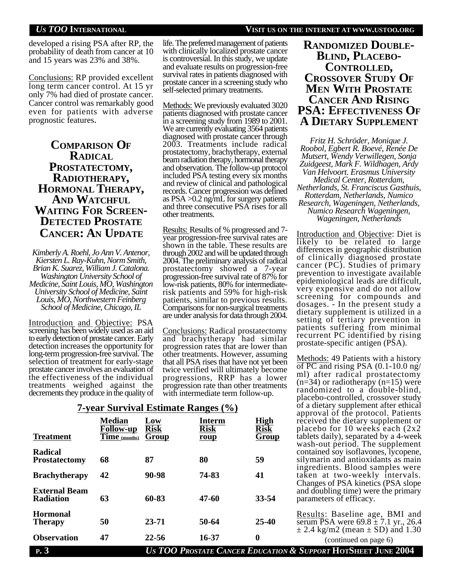developed a rising PSA after RP, the probability of death from cancer at 10 and 15 years was 23% and 38%.

Conclusions: RP provided excellent long term cancer control. At 15 yr only 7% had died of prostate cancer. Cancer control was remarkably good even for patients with adverse prognostic features.

## **COMPARISON OF RADICAL PROSTATECTOMY, RADIOTHERAPY, HORMONAL THERAPY, AND WATCHFUL WAITING FOR SCREEN-DETECTED PROSTATE CANCER: AN UPDATE**

*Kimberly A. Roehl, Jo Ann V. Antenor, Kiersten L. Ray-Kuhn, Norm Smith, Brian K. Suarez, William J. Catalona. Washington University School of Medicine, Saint Louis, MO, Washington University School of Medicine, Saint Louis, MO, Northwestern Feinberg School of Medicine, Chicago, IL*

Introduction and Objective: PSA screening has been widely used as an aid to early detection of prostate cancer. Early detection increases the opportunity for long-term progression-free survival. The selection of treatment for early-stage prostate cancer involves an evaluation of the effectiveness of the individual treatments weighed against the decrements they produce in the quality of life. The preferred management of patients with clinically localized prostate cancer is controversial. In this study, we update and evaluate results on progression-free survival rates in patients diagnosed with prostate cancer in a screening study who self-selected primary treatments.

Methods: We previously evaluated 3020 patients diagnosed with prostate cancer in a screening study from 1989 to 2001. We are currently evaluating 3564 patients diagnosed with prostate cancer through 2003. Treatments include radical prostatectomy, brachytherapy, external beam radiation therapy, hormonal therapy and observation. The follow-up protocol included PSA testing every six months and review of clinical and pathological records. Cancer progression was defined as  $PSA > 0.2$  ng/mL for surgery patients and three consecutive PSA rises for all other treatments.

Results: Results of % progressed and 7 year progression-free survival rates are shown in the table. These results are through 2002 and will be updated through 2004. The preliminary analysis of radical prostatectomy showed a 7-year progression-free survival rate of 87% for low-risk patients, 80% for intermediaterisk patients and 59% for high-risk patients, similar to previous results. Comparisons for non-surgical treatments are under analysis for data through 2004.

Conclusions: Radical prostatectomy and brachytherapy had similar progression rates that are lower than other treatments. However, assuming that all PSA rises that have not yet been twice verified will ultimately become progressions, RRP has a lower progression rate than other treatments with intermediate term follow-up.

# **RANDOMIZED DOUBLE-BLIND, PLACEBO-CONTROLLED, CROSSOVER STUDY OF MEN WITH PROSTATE CANCER AND RISING PSA: EFFECTIVENESS OF A DIETARY SUPPLEMENT**

*Fritz H. Schröder, Monique J. Roobol, Egbert R. Boevé, Renée De Mutsert, Wendy Verwillegen, Sonja Zuidgeest, Mark F. Wildhagen, Ardy Van Helvoort. Erasmus University Medical Center, Rotterdam, Netherlands, St. Franciscus Gasthuis, Rotterdam, Netherlands, Numico Research, Wageningen, Netherlands, Numico Research Wageningen, Wageningen, Netherlands*

Introduction and Objective: Diet is likely to be related to large differences in geographic distribution of clinically diagnosed prostate cancer (PC). Studies of primary prevention to investigate available epidemiological leads are difficult, very expensive and do not allow screening for compounds and dosages. - In the present study a dietary supplement is utilized in a setting of tertiary prevention in patients suffering from minimal recurrent PC identified by rising prostate-specific antigen (PSA).

Methods: 49 Patients with a history of PC and rising PSA  $(0.1-10.0 \text{ ng/m})$ ml) after radical prostatectomy  $(n=34)$  or radiotherapy  $(n=15)$  were randomized to a double-blind, placebo-controlled, crossover study of a dietary supplement after ethical approval of the protocol. Patients received the dietary supplement or placebo for 10 weeks each (2x2 tablets daily), separated by a 4-week wash-out period. The supplement contained soy isoflavones, lycopene, silymarin and antioxidants as main ingredients. Blood samples were taken at two-weekly intervals. Changes of PSA kinetics (PSA slope and doubling time) were the primary parameters of efficacy.

Results: Baseline age, BMI and serum PSA were  $69.8 \pm 7.1$  yr., 26.4  $\pm$  2.4 kg/m2 (mean  $\pm$  SD) and 1.30 (continued on page 6)

| <b>7-year Survival Estimate Ranges (%)</b> |  |  |
|--------------------------------------------|--|--|
|--------------------------------------------|--|--|

| <b>Treatment</b>                         | <b>Median</b><br><b>Follow-up</b><br>Time (months) | Low<br><b>Risk</b><br>Group | Interm<br><b>Risk</b><br>roup          | High<br><b>Risk</b><br>Group |  |
|------------------------------------------|----------------------------------------------------|-----------------------------|----------------------------------------|------------------------------|--|
| Radical<br><b>Prostatectomy</b>          | 68                                                 | 87                          | 80                                     | 59                           |  |
| <b>Brachytherapy</b>                     | 42                                                 | 90-98                       | 74-83                                  | 41                           |  |
| <b>External Beam</b><br><b>Radiation</b> | 63                                                 | 60-83                       | 47-60                                  | 33-54                        |  |
| Hormonal<br><b>Therapy</b>               | 50                                                 | $23 - 71$                   | 50-64                                  | $25 - 40$                    |  |
| <b>Observation</b>                       | 47                                                 | 22-56                       | 16-37                                  | 0                            |  |
| P.3                                      |                                                    |                             | <b>US TOO PROSTATE CANCER EDUCATIO</b> |                              |  |

**P. 3** *US TOO PROSTATE CANCER EDUCATION & SUPPORT* **HOTSHEET JUNE 2004**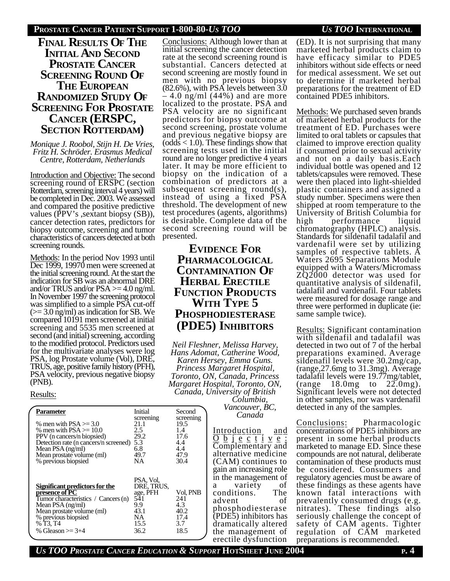## **PROSTATE CANCER PATIENT SUPPORT 1-800-80-***US TOO US TOO* **INTERNATIONAL**

## **FINAL RESULTS OF THE INITIAL AND SECOND PROSTATE CANCER SCREENING ROUND OF THE EUROPEAN RANDOMIZED STUDY OF SCREENING FOR PROSTATE CANCER (ERSPC, SECTION ROTTERDAM)**

*Monique J. Roobol, Stijn H. De Vries, Fritz H. Schröder. Erasmus Medical Centre, Rotterdam, Netherlands*

Introduction and Objective: The second screening round of ERSPC (section Rotterdam, screening interval 4 years) will be completed in Dec. 2003. We assessed and compared the positive predictive values (PPV's ,sextant biopsy (SB)), cancer detection rates, predictors for biopsy outcome, screening and tumor characteristics of cancers detected at both screening rounds.

Methods: In the period Nov 1993 until Dec 1999, 19970 men were screened at the initial screening round. At the start the indication for SB was an abnormal DRE and/or TRUS and/or  $PSA \geq 4.0$  ng/ml. In November 1997 the screening protocol was simplified to a simple PSA cut-off  $(>= 3.0$  ng/ml) as indication for SB. We compared 10191 men screened at initial screening and 5535 men screened at second (and initial) screening, according to the modified protocol. Predictors used for the multivariate analyses were log PSA, log Prostate volume (Vol), DRE, TRUS, age, positive family history (PFH), PSA velocity, previous negative biopsy (PNB).

### Results:

| Parameter<br>% men with $PSA \ge 3.0$<br>% men with $PSA \geq 10.0$<br>PPV (n cancers/n biopsied)<br>Detection rate (n cancers/n screened)<br>Mean PSA (ng/ml)<br>Mean prostate volume (ml)<br>% previous biopsied | Initial<br>screening<br>21.1<br>2.5<br>29.2<br>5.3<br>6.8<br>49.7<br>NΑ         | Second<br>screening<br>19.5<br>1.4<br>17.6<br>4.4<br>4.4<br>47.9<br>30.4 |
|--------------------------------------------------------------------------------------------------------------------------------------------------------------------------------------------------------------------|---------------------------------------------------------------------------------|--------------------------------------------------------------------------|
| Significant predictors for the<br>presence of PC<br>Tumor characteristics / Cancers (n)<br>Mean PSA (ng/ml)<br>Mean prostate volume (ml)<br>% previous biopsied<br>% T3, T4<br>% Gleason $\ge$ 3+4                 | PSA, Vol,<br>DRE, TRUS,<br>age, PFH<br>541<br>9.9<br>43.1<br>NΑ<br>15.5<br>36.2 | Vol, PNB<br>241<br>4.3<br>40.2<br>17.4<br>3.7<br>18.5                    |

Conclusions: Although lower than at initial screening the cancer detection rate at the second screening round is substantial. Cancers detected at second screening are mostly found in men with no previous biopsy (82.6%), with PSA levels between 3.0

 $-4.0$  ng/ml (44%) and are more localized to the prostate. PSA and PSA velocity are no significant predictors for biopsy outcome at second screening, prostate volume and previous negative biopsy are  $(odds < 1.0)$ . These findings show that screening tests used in the initial round are no longer predictive 4 years later. It may be more efficient to biopsy on the indication of a combination of predictors at a subsequent screening round(s), instead of using a fixed PSA threshold. The development of new test procedures (agents, algorithms) is desirable. Complete data of the second screening round will be presented.

# **EVIDENCE FOR PHARMACOLOGICAL CONTAMINATION OF HERBAL ERECTILE FUNCTION PRODUCTS WITH TYPE 5 PHOSPHODIESTERASE (PDE5) INHIBITORS**

*Neil Fleshner, Melissa Harvey, Hans Adomat, Catherine Wood, Karen Hersey, Emma Guns. Princess Margaret Hospital, Toronto, ON, Canada, Princess Margaret Hospital, Toronto, ON, Canada, University of British Columbia,*

*Vancouver, BC, Canada*

Introduction and  $\overline{O}$   $\overline{b}$  j  $\overline{e}$   $\overline{c}$  t i  $\overline{v}$   $\overline{e}$  : Complementary and alternative medicine (CAM) continues to gain an increasing role in the management of a variety of conditions. The advent of phosphodiesterase (PDE5) inhibitors has dramatically altered the management of erectile dysfunction

(ED). It is not surprising that many marketed herbal products claim to have efficacy similar to PDE5 inhibitors without side effects or need for medical assessment. We set out to determine if marketed herbal preparations for the treatment of ED contained PDE5 inhibitors.

Methods: We purchased seven brands of marketed herbal products for the treatment of ED. Purchases were limited to oral tablets or capsules that claimed to improve erection quality if consumed prior to sexual activity and not on a daily basis.Each individual bottle was opened and 12 tablets/capsules were removed. These were then placed into light-shielded plastic containers and assigned a study number. Specimens were then shipped at room temperature to the University of British Columbia for<br>high performance liquid performance chromatography (HPLC) analysis. Standards for sildenafil tadalafil and vardenafil were set by utilizing samples of respective tablets. A Waters 2695 Separations Module equipped with a Waters/Micromass ZQ2000 detector was used for quantitative analysis of sildenafil, tadalafil and vardenafil. Four tablets were measured for dosage range and three were performed in duplicate (ie: same sample twice).

Results: Significant contamination with sildenafil and tadalafil was detected in two out of 7 of the herbal preparations examined. Average sildenafil levels were 30.2mg/cap, (range,27.6mg to 31.3mg). Average tadalafil levels were  $19.77 \text{mg}/\text{table}$ ,<br>(range 18.0mg to 22.0mg).  $18.0$ mg to  $22.0$ mg). Significant levels were not detected in other samples, nor was vardenafil detected in any of the samples.

Conclusions: Pharmacologic concentrations of PDE5 inhibitors are present in some herbal products marketed to manage ED. Since these compounds are not natural, deliberate contamination of these products must be considered. Consumers and regulatory agencies must be aware of these findings as these agents have known fatal interactions with prevalently consumed drugs (e.g. nitrates). These findings also seriously challenge the concept of safety of CAM agents. Tighter regulation of CAM marketed preparations is recommended.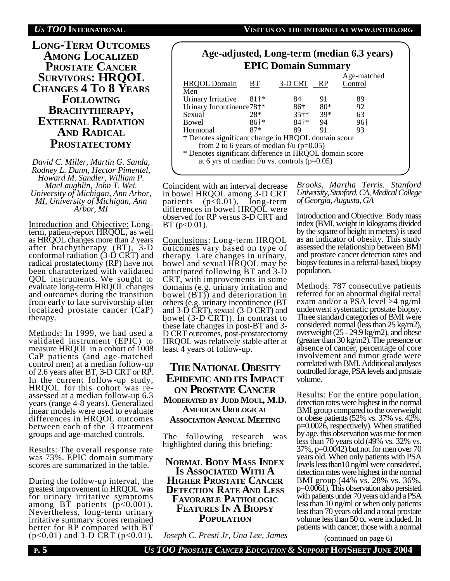

*David C. Miller, Martin G. Sanda, Rodney L. Dunn, Hector Pimentel, Howard M. Sandler, William P. MacLaughlin, John T. Wei. University of Michigan, Ann Arbor, MI, University of Michigan, Ann Arbor, MI*

Introduction and Objective: Longterm, patient-report HRQOL, as well as HRQOL changes more than 2 years after brachytherapy (BT), 3-D conformal radiation (3-D CRT) and radical prostatectomy (RP) have not been characterized with validated QOL instruments. We sought to evaluate long-term HRQOL changes and outcomes during the transition from early to late survivorship after localized prostate cancer (CaP) therapy.

Methods: In 1999, we had used a validated instrument (EPIC) to measure HRQOL in a cohort of 1008 CaP patients (and age-matched control men) at a median follow-up of 2.6 years after BT, 3-D CRT or RP. In the current follow-up study, HRQOL for this cohort was reassessed at a median follow-up 6.3 years (range 4-8 years). Generalized linear models were used to evaluate differences in HRQOL outcomes between each of the 3 treatment groups and age-matched controls.

Results: The overall response rate was 73%. EPIC domain summary scores are summarized in the table.

During the follow-up interval, the greatest improvement in HRQOL was for urinary irritative symptoms among BT patients (p<0.001). Nevertheless, long-term urinary irritative summary scores remained better for RP compared with BT  $(p<0.01)$  and 3-D CRT ( $p<0.01$ ).

| Age-adjusted, Long-term (median 6.3 years)<br><b>EPIC Domain Summary</b> |       |  |           |             |                        |  |  |  |
|--------------------------------------------------------------------------|-------|--|-----------|-------------|------------------------|--|--|--|
| <b>HRQOL</b> Domain<br>Men                                               | BT.   |  | 3-D CRT   | <b>RP</b>   | Age-matched<br>Control |  |  |  |
| Urinary Irritative<br>Urinary Incontinence78†*                           | $81+$ |  | 84<br>86† | 91<br>$80*$ | 89<br>92               |  |  |  |

Sexual 28\* 35†\* 39\* 63 Bowel 86†\* 84†\* 94 96† Hormonal 87\* 89 91 93 † Denotes significant change in HRQOL domain score from 2 to 6 years of median f/u ( $p=0.05$ ) \* Denotes significant difference in HRQOL domain score

at 6 yrs of median f/u vs. controls  $(p=0.05)$ 

Coincident with an interval decrease in bowel HRQOL among  $3-D$  CRT patients  $(p<0.01)$ , long-term  $(p<0.01)$ , long-term differences in bowel HRQOL were observed for RP versus 3-D CRT and  $BT (p < 0.01)$ .

Conclusions: Long-term HRQOL outcomes vary based on type of therapy. Late changes in urinary, bowel and sexual HRQOL may be anticipated following BT and 3-D CRT, with improvements in some domains (e.g. urinary irritation and bowel (BT)) and deterioration in others (e.g. urinary incontinence (BT and 3-D CRT), sexual (3-D CRT) and bowel (3-D CRT)). In contrast to these late changes in post-BT and 3- D CRT outcomes, post-prostatectomy HRQOL was relatively stable after at least 4 years of follow-up.

**THE NATIONAL OBESITY EPIDEMIC AND ITS IMPACT ON PROSTATE CANCER MODERATED BY JUDD MOUL, M.D. AMERICAN UROLOGICAL ASSOCIATION ANNUAL MEETING**

The following research was highlighted during this briefing:

**NORMAL BODY MASS INDEX IS ASSOCIATED WITH A HIGHER PROSTATE CANCER DETECTION RATE AND LESS FAVORABLE PATHOLOGIC FEATURES IN A BIOPSY POPULATION**

*Brooks, Martha Terris. Stanford University, Stanford, CA, Medical College of Georgia, Augusta, GA*

Introduction and Objective: Body mass index (BMI, weight in kilograms divided by the square of height in meters) is used as an indicator of obesity. This study assessed the relationship between BMI and prostate cancer detection rates and biopsy features in a referral-based, biopsy population.

Methods: 787 consecutive patients referred for an abnormal digital rectal exam and/or a PSA level >4 ng/ml underwent systematic prostate biopsy. Three standard categories of BMI were considered: normal (less than  $25 \text{ kg/m2}$ ), overweight (25 - 29.9 kg/m2), and obese (greater than 30 kg/m2). The presence or absence of cancer, percentage of core involvement and tumor grade were correlated with BMI. Additional analyses controlled for age, PSA levels and prostate volume.

Results: For the entire population, detection rates were highest in the normal BMI group compared to the overweight or obese patients (52% vs. 37% vs. 42%, p=0.0026, respectively). When stratified by age, this observation was true for men less than 70 years old (49% vs. 32% vs. 37%, p=0.0042) but not for men over 70 years old. When only patients with PSA levels less than10 ng/ml were considered, detection rates were highest in the normal BMI group (44% vs. 28% vs. 36%, p=0.0061). This observation also persisted with patients under 70 years old and a PSA less than 10 ng/ml or when only patients less than 70 years old and a total prostate volume less than 50 cc were included. In patients with cancer, those with a normal

(continued on page 6)

*Joseph C. Presti Jr, Una Lee, James*

**P. 5** *US TOO PROSTATE CANCER EDUCATION & SUPPORT* **HOTSHEET JUNE 2004**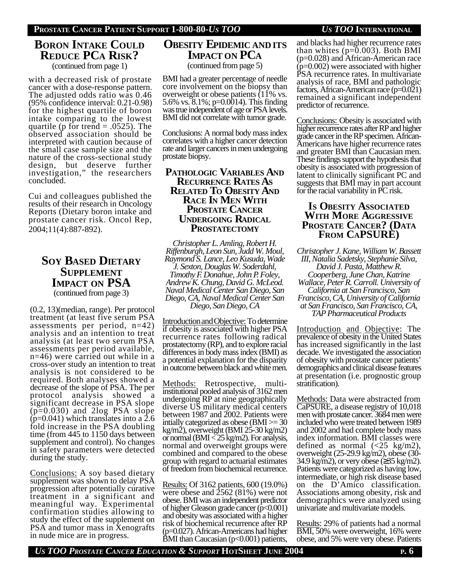# **BORON INTAKE COULD REDUCE PCA RISK?**

(continued from page 1)

with a decreased risk of prostate cancer with a dose-response pattern. The adjusted odds ratio was 0.46 (95% confidence interval: 0.21-0.98) for the highest quartile of boron intake comparing to the lowest quartile (p for trend  $= .0525$ ). The observed association should be interpreted with caution because of the small case sample size and the nature of the cross-sectional study design, but deserve further investigation," the researchers concluded.

Cui and colleagues published the results of their research in Oncology Reports (Dietary boron intake and prostate cancer risk. Oncol Rep, 2004;11(4):887-892).

# **SOY BASED DIETARY SUPPLEMENT IMPACT ON PSA** (continued from page 3)

(0.2, 13)(median, range). Per protocol treatment (at least five serum PSA assessments per period, n=42) analysis and an intention to treat analysis (at least two serum PSA assessments per period available, n=46) were carried out while in a cross-over study an intention to treat analysis is not considered to be required. Both analyses showed a decrease of the slope of PSA. The per protocol analysis showed a significant decrease in PSA slope (p=0.030) and 2log PSA slope  $(p=0.041)$  which translates into a 2.6 fold increase in the PSA doubling time (from 445 to 1150 days between supplement and control). No changes in safety parameters were detected during the study.

Conclusions: A soy based dietary supplement was shown to delay PSA progression after potentially curative treatment in a significant and meaningful way. Experimental confirmation studies allowing to study the effect of the supplement on PSA and tumor mass in Xenografts in nude mice are in progress.

## **OBESITY EPIDEMIC AND ITS IMPACT ON PCA** (continued from page 5)

BMI had a greater percentage of needle core involvement on the biopsy than overweight or obese patients (11% vs. 5.6% vs. 8.1%; p=0.0014). This finding was true independent of age or PSA levels. BMI did not correlate with tumor grade.

Conclusions: A normal body mass index correlates with a higher cancer detection rate and larger cancers in men undergoing prostate biopsy.

## **PATHOLOGIC VARIABLES AND RECURRENCE RATES A<sup>S</sup> RELATED TO OBESITY AND RACE IN MEN WITH PROSTATE CANCER UNDERGOING RADICAL PROSTATECTOMY**

*Christopher L. Amling, Robert H. Riffenburgh, Leon Sun, Judd W. Moul, Raymond S. Lance, Leo Kusuda, Wade J. Sexton, Douglas W. Soderdahl, Timothy F. Donahue, John P. Foley, Andrew K. Chung, David G. McLeod. Naval Medical Center San Diego, San Diego, CA, Naval Medical Center San Diego, San Diego, CA*

IntroductionandObjective: To determine if obesity is associated with higher PSA recurrence rates following radical prostatectomy (RP), and to explore racial differences in body mass index (BMI) as a potential explanation for the disparity in outcome between black and white men.

Methods: Retrospective, multiinstitutional pooled analysis of 3162 men undergoing RP at nine geographically diverse US military medical centers between 1987 and 2002. Patients were intially categorized as obese (BMI >= 30 kg/m2), overweight (BMI 25-30 kg/m2) or normal ( $BMI < 25$  kg/m2). For analysis, normal and overweight groups were combined and compared to the obese group with regard to actuarial estimates of freedom from biochemical recurrence.

Results: Of 3162 patients, 600 (19.0%) were obese and 2562 (81%) were not obese. BMI was an independent predictor of higher Gleason grade cancer (p<0.001) and obesity was associated with a higher risk of biochemical recurrence after RP (p=0.027). African-Americans had higher BMI than Caucasian  $(p<0.001)$  patients,

and blacks had higher recurrence rates than whites  $(p=0.003)$ . Both BMI (p=0.028) and African-American race  $(p=0.002)$  were associated with higher PSA recurrence rates. In multivariate analysis of race, BMI and pathologic factors, African-American race (p=0.021) remained a significant independent predictor of recurrence.

Conclusions: Obesity is associated with higher recurrence rates after RP and higher grade cancer in the RP specimen. African-Americans have higher recurrence rates and greater BMI than Caucasian men. These findings support the hypothesis that obesity is associated with progression of latent to clinically significant PC and suggests that BMI may in part account for the racial variability in PC risk.

## **IS OBESITY ASSOCIATED WITH MORE AGGRESSIVE PROSTATE CANCER? (DATA FROM CAPSURE)**

*Christopher J. Kane, William W. Bassett III, Natalia Sadetsky, Stephanie Silva, David J. Pasta, Matthew R. Cooperberg, June Chan, Katrine Wallace, Peter R. Carroll. University of California at San Francisco, San Francisco, CA, University of California at San Francisco, San Francisco, CA, TAP Pharmaceutical Products*

Introduction and Objective: The prevalence of obesity in the United States has increased significantly in the last decade. We investigated the association of obesity with prostate cancer patients' demographics and clinical disease features at presentation (i.e. prognostic group stratification).

Methods: Data were abstracted from CaPSURE, a disease registry of 10,018 men with prostate cancer. 3684 men were included who were treated between 1989 and 2002 and had complete body mass index information. BMI classes were defined as normal  $\left(\frac{25 \text{ kg}}{m2}\right)$ , overweight (25-29.9 kg/m2), obese (30- 34.9 kg/m2), or very obese ( 35 kg/m2). Patients were categorized as having low, intermediate, or high risk disease based on the D'Amico classification. Associations among obesity, risk and demographics were analyzed using univariate and multivariate models.

Results: 29% of patients had a normal BMI, 50% were overweight, 16% were obese, and 5% were very obese. Patients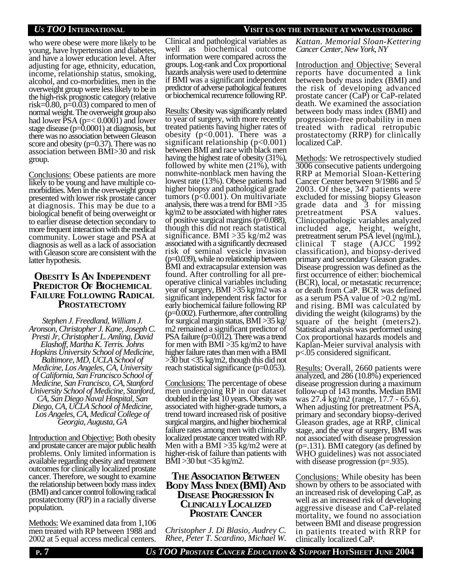who were obese were more likely to be young, have hypertension and diabetes, and have a lower education level. After adjusting for age, ethnicity, education, income, relationship status, smoking, alcohol, and co-morbidities, men in the overweight group were less likely to be in the high-risk prognostic category (relative risk= $0.80$ , p= $0.03$ ) compared to men of normal weight. The overweight group also had lower  $PSA (p= $0.0001$ ) and lower$ stage disease (p=0.0001) at diagnosis, but there was no association between Gleason score and obesity ( $p=0.37$ ). There was no association between BMI>30 and risk group.

Conclusions: Obese patients are more likely to be young and have multiple comorbidities. Men in the overweight group presented with lower risk prostate cancer at diagnosis. This may be due to a biological benefit of being overweight or to earlier disease detection secondary to more frequent interaction with the medical community. Lower stage and PSA at diagnosis as well as a lack of association with Gleason score are consistent with the latter hypothesis.

## **OBESITY IS AN INDEPENDENT PREDICTOR OF BIOCHEMICAL FAILURE FOLLOWING RADICAL PROSTATECTOMY**

*Stephen J. Freedland, William J. Aronson, Christopher J. Kane, Joseph C. Presti Jr, Christopher L. Amling, David Elashoff, Martha K. Terris. Johns Hopkins University School of Medicine, Baltimore, MD, UCLA School of Medicine, Los Angeles, CA, University of California, San Francisco School of Medicine, San Francisco, CA, Stanford University School of Medicine, Stanford, CA, San Diego Naval Hospital, San Diego, CA, UCLA School of Medicine, Los Angeles, CA, Medical College of Georgia, Augusta, GA*

Introduction and Objective: Both obesity and prostate cancer are major public health problems. Only limited information is available regarding obesity and treatment outcomes for clinically localized prostate cancer. Therefore, we sought to examine the relationship between body mass index (BMI) and cancer control following radical prostatectomy (RP) in a racially diverse population.

Methods: We examined data from 1,106 men treated with RP between 1988 and 2002 at 5 equal access medical centers.

Clinical and pathological variables as well as biochemical outcome information were compared across the groups. Log-rank and Cox proportional hazards analysis were used to determine if BMI was a significant independent predictor of adverse pathological features or biochemical recurrence following RP.

Results: Obesity was significantly related to year of surgery, with more recently treated patients having higher rates of obesity  $(p<0.001)$ . There was a significant relationship  $(p<0.001)$ between BMI and race with black men having the highest rate of obesity (31%), followed by white men (21%), with nonwhite-nonblack men having the lowest rate (13%). Obese patients had higher biopsy and pathological grade tumors  $(p<0.001)$ . On multivariate analysis, there was a trend for BMI >35 kg/m2 to be associated with higher rates of positive surgical margins (p=0.088), though this did not reach statistical significance. BMI >35 kg/m2 was associated with a significantly decreased risk of seminal vesicle invasion (p=0.039), while no relationship between BMI and extracapsular extension was found. After controlling for all preoperative clinical variables including year of surgery, BMI >35 kg/m2 was a significant independent risk factor for early biochemical failure following RP (p=0.002). Furthermore, after controlling for surgical margin status, BMI >35 kg/ m2 remained a significant predictor of PSA failure (p=0.012). There was a trend for men with BMI >35 kg/m2 to have higher failure rates than men with a BMI >30 but <35 kg/m2, though this did not reach statistical significance (p=0.053).

Conclusions: The percentage of obese men undergoing RP in our dataset doubled in the last 10 years. Obesity was associated with higher-grade tumors, a trend toward increased risk of positive surgical margins, and higher biochemical failure rates among men with clinically localized prostate cancer treated with RP. Men with a BMI >35 kg/m2 were at higher-risk of failure than patients with BMI >30 but <35 kg/m2.

## **THE ASSOCIATION BETWEEN BODY MASS INDEX (BMI) AND DISEASE PROGRESSION I<sup>N</sup> CLINICALLY LOCALIZED PROSTATE CANCER**

*Christopher J. Di Blasio, Audrey C. Rhee, Peter T. Scardino, Michael W.*

## *US TOO* **INTERNATIONAL VISIT US ON THE INTERNET AT WWW.USTOO.ORG**

*Kattan. Memorial Sloan-Kettering Cancer Center, New York, NY*

Introduction and Objective: Several reports have documented a link between body mass index (BMI) and the risk of developing advanced prostate cancer (CaP) or CaP-related death. We examined the association between body mass index (BMI) and progression-free probability in men treated with radical retropubic prostatectomy (RRP) for clinically localized CaP.

Methods: We retrospectively studied 3006 consecutive patients undergoing RRP at Memorial Sloan-Kettering Cancer Center between 9/1986 and 5/ 2003. Of these, 347 patients were excluded for missing biopsy Gleason grade data and 3 for missing pretreatment PSA values. Clinicopathologic variables analyzed included age, height, weight, pretreatment serum PSA level (ng/mL), clinical T stage  $(AJCC^{\sim}1992)$ classification), and biopsy-derived primary and secondary Gleason grades. Disease progression was defined as the first occurrence of either: biochemical (BCR), local, or metastatic recurrence; or death from CaP. BCR was defined as a serum PSA value of >0.2 ng/mL and rising. BMI was calculated by dividing the weight (kilograms) by the square of the height (meters2). Statistical analysis was performed using Cox proportional hazards models and Kaplan-Meier survival analysis with p<.05 considered significant.

Results: Overall, 2660 patients were analyzed, and 286 (10.8%) experienced disease progression during a maximum follow-up of 143 months. Median BMI was 27.4 kg/m2 (range, 17.7 - 65.6). When adjusting for pretreatment PSA, primary and secondary biopsy-derived Gleason grades, age at RRP, clinical stage, and the year of surgery, BMI was not associated with disease progression (p=.131). BMI category (as defined by WHO guidelines) was not associated with disease progression (p=.935).

Conclusions: While obesity has been shown by others to be associated with an increased risk of developing CaP, as well as an increased risk of developing aggressive disease and CaP-related mortality, we found no association between BMI and disease progression in patients treated with RRP for clinically localized CaP.